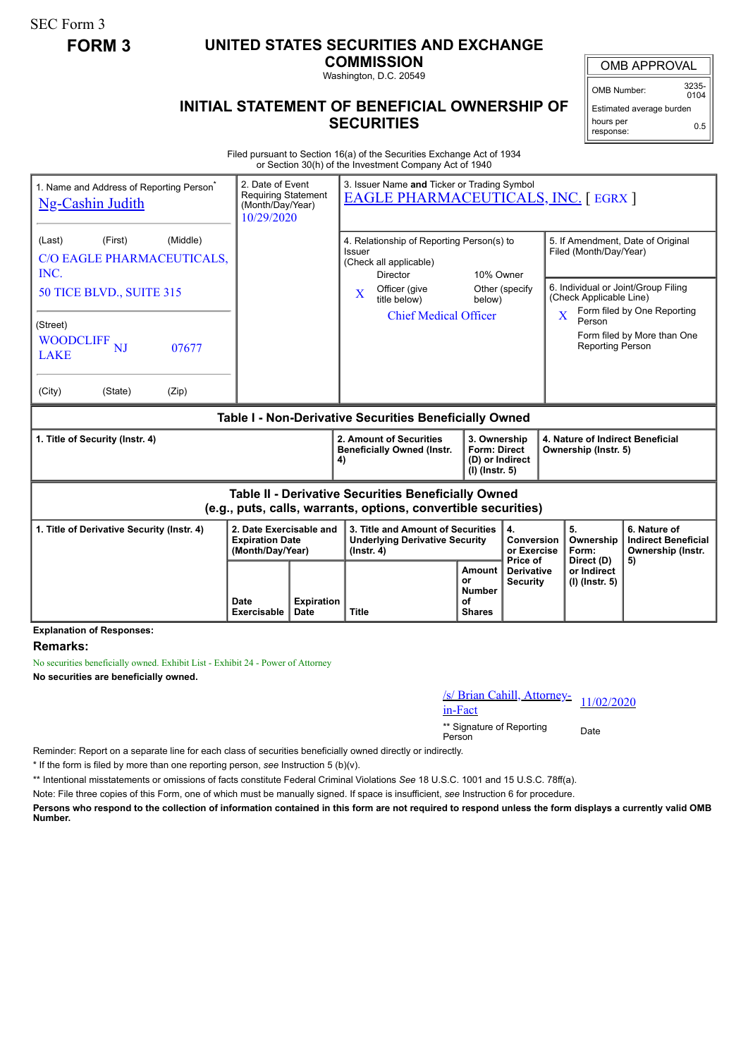SEC Form 3

## **FORM 3 UNITED STATES SECURITIES AND EXCHANGE**

**COMMISSION**

Washington, D.C. 20549

## **INITIAL STATEMENT OF BENEFICIAL OWNERSHIP OF SECURITIES**

OMB APPROVAL OMB Number: 3235-

 $0104$ Estimated average burden hours per response: 0.5

Filed pursuant to Section 16(a) of the Securities Exchange Act of 1934 or Section 30(h) of the Investment Company Act of 1940

| 1. Name and Address of Reporting Person <sup>®</sup><br><b>Ng-Cashin Judith</b>                                              | 2. Date of Event<br><b>Requiring Statement</b><br>(Month/Day/Year)<br>10/29/2020 |                         | 3. Issuer Name and Ticker or Trading Symbol<br><b>EAGLE PHARMACEUTICALS, INC. [ EGRX ]</b>             |                                      |                                                                                                                                        |                                                                                               |                                                                       |  |
|------------------------------------------------------------------------------------------------------------------------------|----------------------------------------------------------------------------------|-------------------------|--------------------------------------------------------------------------------------------------------|--------------------------------------|----------------------------------------------------------------------------------------------------------------------------------------|-----------------------------------------------------------------------------------------------|-----------------------------------------------------------------------|--|
| (Middle)<br>(Last)<br>(First)<br>C/O EAGLE PHARMACEUTICALS,<br>INC.                                                          |                                                                                  |                         | 4. Relationship of Reporting Person(s) to<br>Issuer<br>(Check all applicable)<br>10% Owner<br>Director |                                      |                                                                                                                                        | 5. If Amendment, Date of Original<br>Filed (Month/Day/Year)                                   |                                                                       |  |
| 50 TICE BLVD., SUITE 315                                                                                                     |                                                                                  |                         | Officer (give<br>$\mathbf{X}$<br>title below)                                                          | below)                               | Other (specify                                                                                                                         | 6. Individual or Joint/Group Filing<br>(Check Applicable Line)<br>Form filed by One Reporting |                                                                       |  |
| (Street)<br><b>WOODCLIFF</b><br><b>NJ</b><br>07677<br><b>LAKE</b><br>(City)<br>(State)<br>(Zip)                              |                                                                                  |                         | <b>Chief Medical Officer</b>                                                                           |                                      |                                                                                                                                        | $\overline{\mathbf{X}}$<br>Person<br><b>Reporting Person</b>                                  | Form filed by More than One                                           |  |
| Table I - Non-Derivative Securities Beneficially Owned                                                                       |                                                                                  |                         |                                                                                                        |                                      |                                                                                                                                        |                                                                                               |                                                                       |  |
| 1. Title of Security (Instr. 4)                                                                                              |                                                                                  |                         | 2. Amount of Securities<br><b>Beneficially Owned (Instr.</b><br>4)                                     |                                      | 3. Ownership<br>4. Nature of Indirect Beneficial<br><b>Form: Direct</b><br>Ownership (Instr. 5)<br>(D) or Indirect<br>$(I)$ (lnstr. 5) |                                                                                               |                                                                       |  |
| <b>Table II - Derivative Securities Beneficially Owned</b><br>(e.g., puts, calls, warrants, options, convertible securities) |                                                                                  |                         |                                                                                                        |                                      |                                                                                                                                        |                                                                                               |                                                                       |  |
| 1. Title of Derivative Security (Instr. 4)<br><b>Expiration Date</b><br>(Month/Day/Year)                                     |                                                                                  | 2. Date Exercisable and | 3. Title and Amount of Securities<br><b>Underlying Derivative Security</b><br>$($ lnstr. 4 $)$         |                                      | 4.<br>Conversion<br>or Exercise<br>Price of                                                                                            | 5.<br>Ownership<br>Form:<br>Direct (D)                                                        | 6. Nature of<br><b>Indirect Beneficial</b><br>Ownership (Instr.<br>5) |  |
| Evaluation of Ba                                                                                                             |                                                                                  |                         |                                                                                                        | <b>Amount</b><br>or<br><b>Number</b> | <b>Derivative</b><br><b>Security</b>                                                                                                   | or Indirect<br>$(I)$ (lnstr. 5)                                                               |                                                                       |  |

**Explanation of Responses:**

## **Remarks:**

No securities beneficially owned. Exhibit List - Exhibit 24 - Power of Attorney **No securities are beneficially owned.**

| /s/ Brian Cahill, Attorney= 11/02/2020 |  |
|----------------------------------------|--|
| in-Fact                                |  |

\*\* Signature of Reporting Person Date

Reminder: Report on a separate line for each class of securities beneficially owned directly or indirectly.

\* If the form is filed by more than one reporting person, *see* Instruction 5 (b)(v).

\*\* Intentional misstatements or omissions of facts constitute Federal Criminal Violations *See* 18 U.S.C. 1001 and 15 U.S.C. 78ff(a).

Note: File three copies of this Form, one of which must be manually signed. If space is insufficient, *see* Instruction 6 for procedure.

**Persons who respond to the collection of information contained in this form are not required to respond unless the form displays a currently valid OMB Number.**